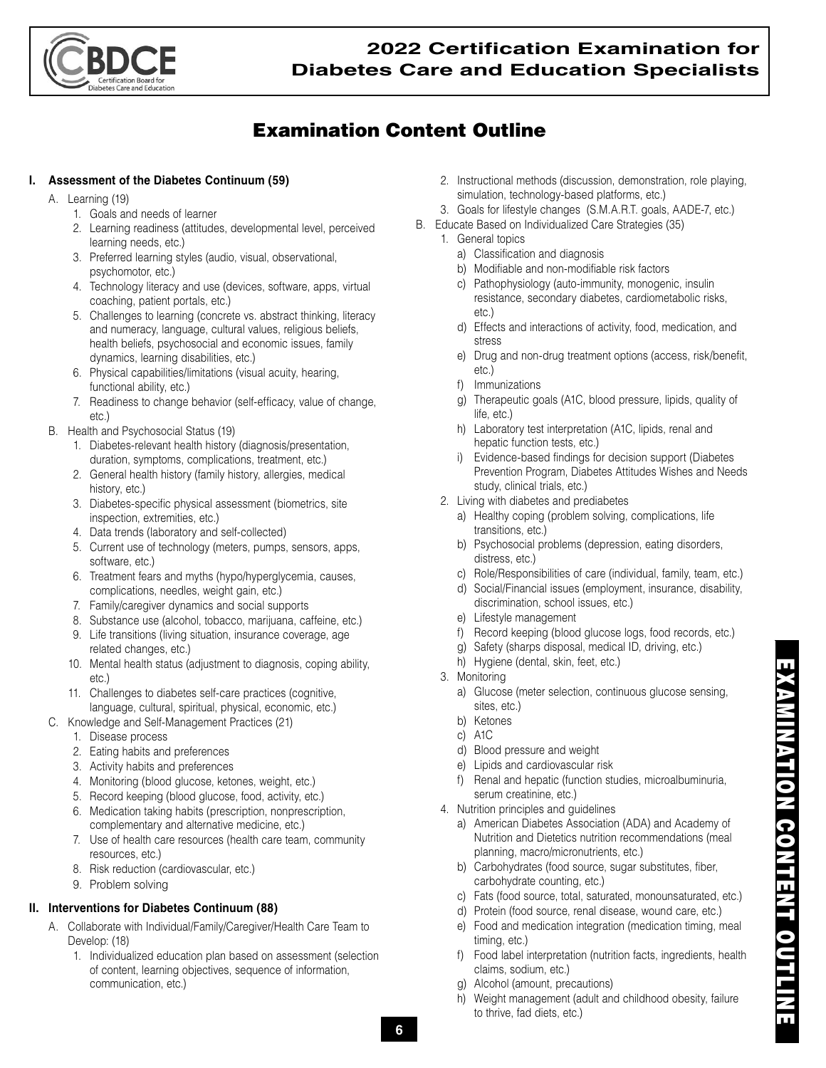

# Examination Content Outline

#### **I. Assessment of the Diabetes Continuum (59)**

- A. Learning (19)
	- 1. Goals and needs of learner
	- 2. Learning readiness (attitudes, developmental level, perceived learning needs, etc.)
	- 3. Preferred learning styles (audio, visual, observational, psychomotor, etc.)
	- 4. Technology literacy and use (devices, software, apps, virtual coaching, patient portals, etc.)
	- 5. Challenges to learning (concrete vs. abstract thinking, literacy and numeracy, language, cultural values, religious beliefs, health beliefs, psychosocial and economic issues, family dynamics, learning disabilities, etc.)
	- 6. Physical capabilities/limitations (visual acuity, hearing, functional ability, etc.)
	- 7. Readiness to change behavior (self-efficacy, value of change, etc.)
- B. Health and Psychosocial Status (19)
	- 1. Diabetes-relevant health history (diagnosis/presentation, duration, symptoms, complications, treatment, etc.)
	- 2. General health history (family history, allergies, medical history, etc.)
	- 3. Diabetes-specific physical assessment (biometrics, site inspection, extremities, etc.)
	- 4. Data trends (laboratory and self-collected)
	- 5. Current use of technology (meters, pumps, sensors, apps, software, etc.)
	- 6. Treatment fears and myths (hypo/hyperglycemia, causes, complications, needles, weight gain, etc.)
	- 7. Family/caregiver dynamics and social supports
	- 8. Substance use (alcohol, tobacco, marijuana, caffeine, etc.)
	- 9. Life transitions (living situation, insurance coverage, age related changes, etc.)
	- 10. Mental health status (adjustment to diagnosis, coping ability, etc.)
	- 11. Challenges to diabetes self-care practices (cognitive, language, cultural, spiritual, physical, economic, etc.)
- C. Knowledge and Self-Management Practices (21)
	- 1. Disease process
	- 2. Eating habits and preferences
	- 3. Activity habits and preferences
	- 4. Monitoring (blood glucose, ketones, weight, etc.)
	- 5. Record keeping (blood glucose, food, activity, etc.)
	- 6. Medication taking habits (prescription, nonprescription, complementary and alternative medicine, etc.)
	- 7. Use of health care resources (health care team, community resources, etc.)
	- 8. Risk reduction (cardiovascular, etc.)
	- 9. Problem solving

#### **II. Interventions for Diabetes Continuum (88)**

- A. Collaborate with Individual/Family/Caregiver/Health Care Team to Develop: (18)
	- 1. Individualized education plan based on assessment (selection of content, learning objectives, sequence of information, communication, etc.)
- 2. Instructional methods (discussion, demonstration, role playing, simulation, technology-based platforms, etc.)
- 3. Goals for lifestyle changes (S.M.A.R.T. goals, AADE-7, etc.)
- B. Educate Based on Individualized Care Strategies (35)
	- 1. General topics
		- a) Classification and diagnosis
		- b) Modifiable and non-modifiable risk factors
		- c) Pathophysiology (auto-immunity, monogenic, insulin resistance, secondary diabetes, cardiometabolic risks, etc.)
		- d) Effects and interactions of activity, food, medication, and stress
		- e) Drug and non-drug treatment options (access, risk/benefit, etc.)
		- f) Immunizations
		- g) Therapeutic goals (A1C, blood pressure, lipids, quality of life, etc.)
		- h) Laboratory test interpretation (A1C, lipids, renal and hepatic function tests, etc.)
		- i) Evidence-based findings for decision support (Diabetes Prevention Program, Diabetes Attitudes Wishes and Needs study, clinical trials, etc.)
	- 2. Living with diabetes and prediabetes
		- a) Healthy coping (problem solving, complications, life transitions, etc.)
		- b) Psychosocial problems (depression, eating disorders, distress, etc.)
		- c) Role/Responsibilities of care (individual, family, team, etc.)
		- d) Social/Financial issues (employment, insurance, disability, discrimination, school issues, etc.)
		- e) Lifestyle management
		- f) Record keeping (blood glucose logs, food records, etc.)
		- g) Safety (sharps disposal, medical ID, driving, etc.)
		- h) Hygiene (dental, skin, feet, etc.)
	- 3. Monitoring
		- a) Glucose (meter selection, continuous glucose sensing, sites, etc.)
		- b) Ketones
		- c) A1C
		- d) Blood pressure and weight
		- e) Lipids and cardiovascular risk
		- f) Renal and hepatic (function studies, microalbuminuria, serum creatinine, etc.)
	- 4. Nutrition principles and guidelines
		- a) American Diabetes Association (ADA) and Academy of Nutrition and Dietetics nutrition recommendations (meal planning, macro/micronutrients, etc.)
		- b) Carbohydrates (food source, sugar substitutes, fiber, carbohydrate counting, etc.)
		- c) Fats (food source, total, saturated, monounsaturated, etc.)
		- d) Protein (food source, renal disease, wound care, etc.)
		- e) Food and medication integration (medication timing, meal timing, etc.)
		- f) Food label interpretation (nutrition facts, ingredients, health claims, sodium, etc.)
		- g) Alcohol (amount, precautions)
		- h) Weight management (adult and childhood obesity, failure to thrive, fad diets, etc.)